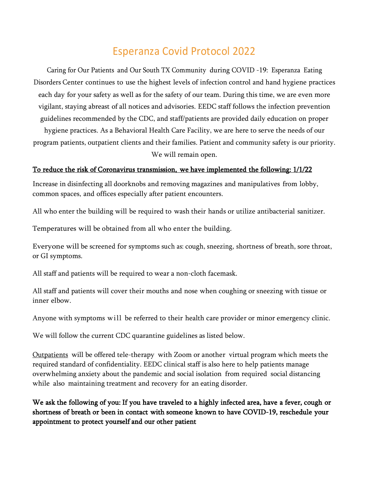## Esperanza Covid Protocol 2022

Caring for Our Patients and Our South TX Community during COVID -19: Esperanza Eating Disorders Center continues to use the highest levels of infection control and hand hygiene practices each day for your safety as well as for the safety of our team. During this time, we are even more vigilant, staying abreast of all notices and advisories. EEDC staff follows the infection prevention guidelines recommended by the CDC, and staff/patients are provided daily education on proper hygiene practices. As a Behavioral Health Care Facility, we are here to serve the needs of our program patients, outpatient clients and their families. Patient and community safety is our priority. We will remain open.

## To reduce the risk of Coronavirus transmission, we have implemented the following: 1/1/22

Increase in disinfecting all doorknobs and removing magazines and manipulatives from lobby, common spaces, and offices especially after patient encounters.

All who enter the building will be required to wash their hands or utilize antibacterial sanitizer.

Temperatures will be obtained from all who enter the building.

Everyone will be screened for symptoms such as: cough, sneezing, shortness of breath, sore throat, or GI symptoms.

All staff and patients will be required to wear a non-cloth facemask.

All staff and patients will cover their mouths and nose when coughing or sneezing with tissue or inner elbow.

Anyone with symptoms will be referred to their health care provider or minor emergency clinic.

We will follow the current CDC quarantine guidelines as listed below.

Outpatients will be offered tele-therapy with Zoom or another virtual program which meets the required standard of confidentiality. EEDC clinical staff is also here to help patients manage overwhelming anxiety about the pandemic and social isolation from required social distancing while also maintaining treatment and recovery for an eating disorder.

We ask the following of you: If you have traveled to a highly infected area, have a fever, cough or shortness of breath or been in contact with someone known to have COVID-19, reschedule your appointment to protect yourself and our other patient